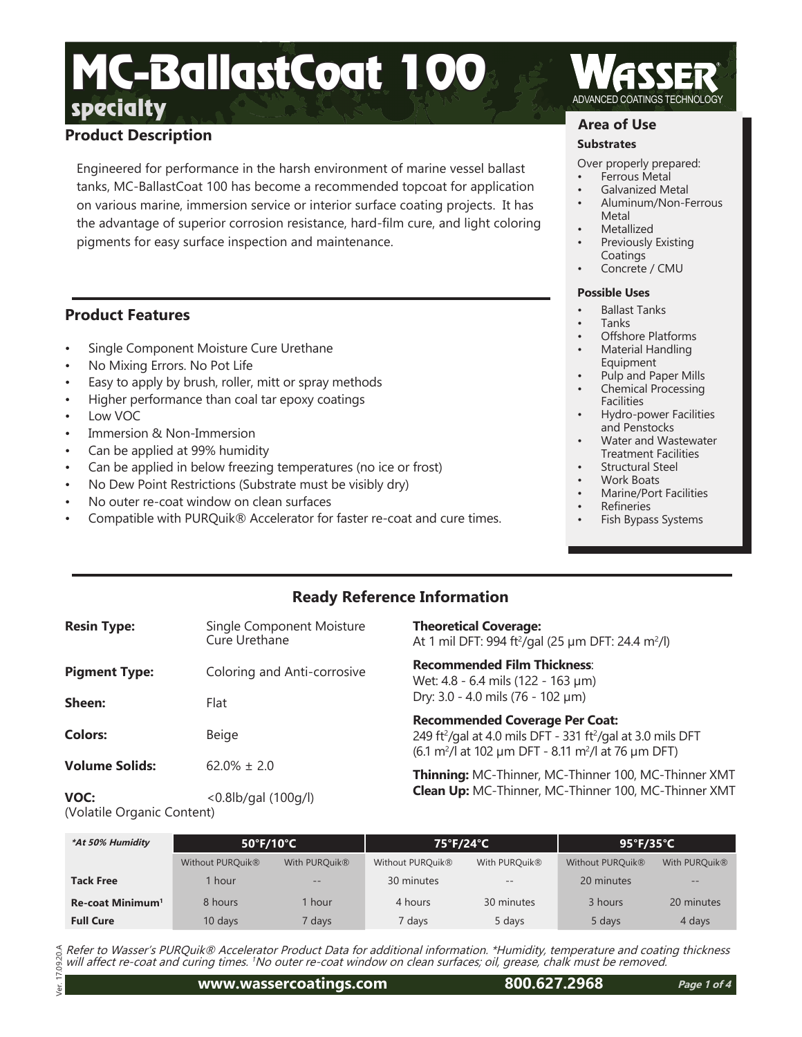# **Product Description**

Engineered for performance in the harsh environment of marine vessel ballast tanks, MC-BallastCoat 100 has become a recommended topcoat for application on various marine, immersion service or interior surface coating projects. It has the advantage of superior corrosion resistance, hard-film cure, and light coloring pigments for easy surface inspection and maintenance.

## **Product Features**

- Single Component Moisture Cure Urethane
- No Mixing Errors. No Pot Life
- Easy to apply by brush, roller, mitt or spray methods
- Higher performance than coal tar epoxy coatings
- Low VOC
- Immersion & Non-Immersion
- Can be applied at 99% humidity
- Can be applied in below freezing temperatures (no ice or frost)
- No Dew Point Restrictions (Substrate must be visibly dry)
- No outer re-coat window on clean surfaces
- Compatible with PURQuik® Accelerator for faster re-coat and cure times.

## **Area of Use**

### **Substrates**

Over properly prepared:

- Ferrous Metal
- Galvanized Metal
- Aluminum/Non-Ferrous Metal
- **Metallized**
- Previously Existing Coatings
- Concrete / CMU

#### **Possible Uses**

- Ballast Tanks
- Tanks
- Offshore Platforms
- Material Handling Equipment
- Pulp and Paper Mills
- Chemical Processing **Facilities**
- Hydro-power Facilities and Penstocks
- Water and Wastewater Treatment Facilities
- Structural Steel
- Work Boats
- Marine/Port Facilities
- **Refineries**
- Fish Bypass Systems

# **Ready Reference Information**

| <b>Resin Type:</b>    | Single Component Moisture<br>Cure Urethane | <b>Theoretical Coverage:</b><br>At 1 mil DFT: 994 ft <sup>2</sup> /gal (25 µm DFT: 24.4 m <sup>2</sup> /l)                                                                                             |
|-----------------------|--------------------------------------------|--------------------------------------------------------------------------------------------------------------------------------------------------------------------------------------------------------|
| <b>Pigment Type:</b>  | Coloring and Anti-corrosive                | <b>Recommended Film Thickness:</b><br>Wet: 4.8 - 6.4 mils (122 - 163 µm)                                                                                                                               |
| Sheen:                | Flat                                       | Dry: 3.0 - 4.0 mils (76 - 102 µm)                                                                                                                                                                      |
| <b>Colors:</b>        | Beige                                      | <b>Recommended Coverage Per Coat:</b><br>249 ft <sup>2</sup> /gal at 4.0 mils DFT - 331 ft <sup>2</sup> /gal at 3.0 mils D<br>$(6.1 \text{ m}^2)$ at 102 µm DFT - 8.11 m <sup>2</sup> /l at 76 µm DFT) |
| <b>Volume Solids:</b> | $62.0\% \pm 2.0$                           | Thinning: MC-Thinner, MC-Thinner 100, MC-Thir<br>$\epsilon$ ii Mc $\tau$ ii Mc $\tau$ is an $\epsilon$ $\tau$ if                                                                                       |

**VOC:** <0.8lb/gal (100g/l) (Volatile Organic Content)

 $\overline{\text{PFT}}$ 

nner XMT **Clean Up:** MC-Thinner, MC-Thinner 100, MC-Thinner XMT

| *At 50% Humidity             | 50°F/10°C                    |                   | 75°F/24°C        |                   | $95^{\circ}$ F/35 $^{\circ}$ C |                   |
|------------------------------|------------------------------|-------------------|------------------|-------------------|--------------------------------|-------------------|
|                              | Without PURQuik <sup>®</sup> | With PURQuik®     | Without PURQuik® | With PURQuik®     | Without PURQuik®               | With PURQuik®     |
| <b>Tack Free</b>             | l hour                       | $\qquad \qquad -$ | 30 minutes       | $\qquad \qquad -$ | 20 minutes                     | $\qquad \qquad -$ |
| Re-coat Minimum <sup>1</sup> | 8 hours                      | l hour            | 4 hours          | 30 minutes        | 3 hours                        | 20 minutes        |
| <b>Full Cure</b>             | 10 days                      | ' days            | 7 days           | 5 days            | 5 days                         | 4 days            |

09.20A Refer to Wasser's PURQuik® Accelerator Product Data for additional information. \*Humidity, temperature and coating thickness will affect re-coat and curing times. 1No outer re-coat window on clean surfaces; oil, grease, chalk must be removed.

Ver. 17.09.20.A  $\overline{a}$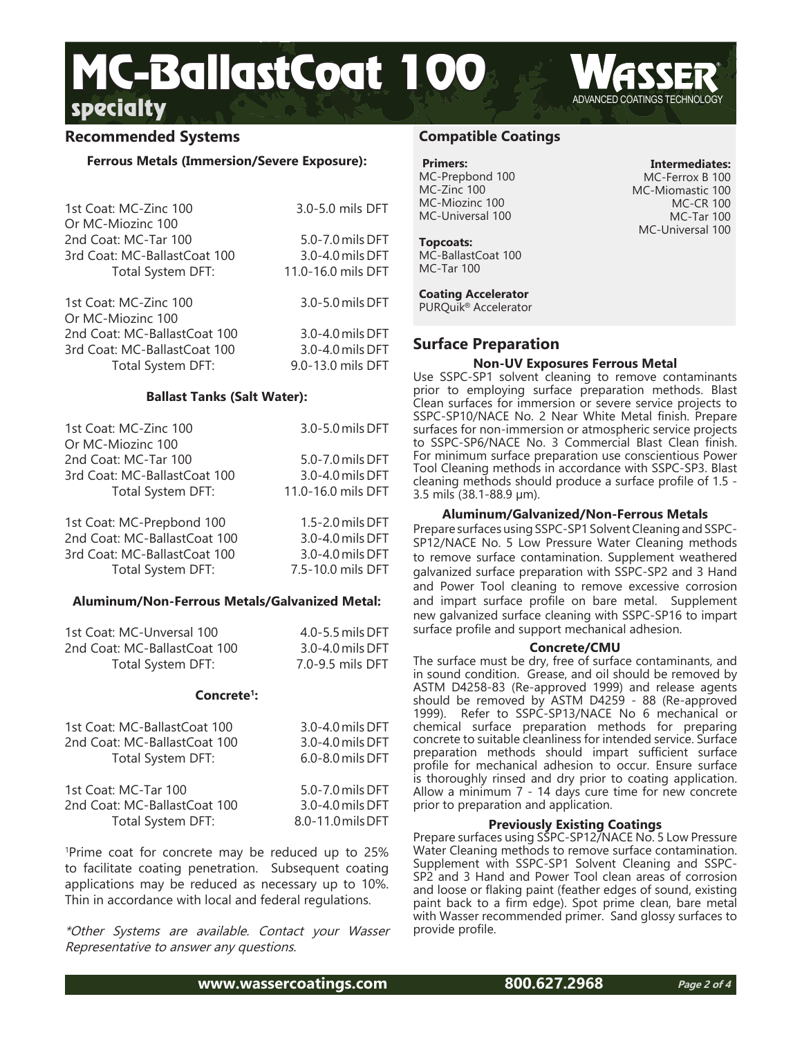## **Recommended Systems**

#### **Ferrous Metals (Immersion/Severe Exposure):**

| 1st Coat: MC-Zinc 100<br>Or MC-Miozinc 100 | 3.0-5.0 mils DFT   |
|--------------------------------------------|--------------------|
| 2nd Coat: MC-Tar 100                       | 5.0-7.0 mils DFT   |
| 3rd Coat: MC-BallastCoat 100               | 3.0-4.0 mils DFT   |
| Total System DFT:                          | 11.0-16.0 mils DFT |
| 1st Coat: MC-Zinc 100<br>Or MC-Miozinc 100 | 3.0-5.0 mils DFT   |
| 2nd Coat: MC-BallastCoat 100               | 3.0-4.0 mils DFT   |
| 3rd Coat: MC-BallastCoat 100               | 3.0-4.0 mils DFT   |
| Total System DFT:                          | 9.0-13.0 mils DFT  |

#### **Ballast Tanks (Salt Water):**

| 1st Coat: MC-Zinc 100        | 3.0-5.0 mils DFT   |
|------------------------------|--------------------|
| Or MC-Miozinc 100            |                    |
| 2nd Coat: MC-Tar 100         | 5.0-7.0 mils DFT   |
| 3rd Coat: MC-BallastCoat 100 | 3.0-4.0 mils DFT   |
| Total System DFT:            | 11.0-16.0 mils DFT |
| 1st Coat: MC-Prepbond 100    | 1.5-2.0 mils DFT   |
| 2nd Coat: MC-BallastCoat 100 | 3.0-4.0 mils DFT   |
| 3rd Coat: MC-BallastCoat 100 | 3.0-4.0 mils DFT   |
| Total System DFT:            | 7.5-10.0 mils DFT  |

#### **Aluminum/Non-Ferrous Metals/Galvanized Metal:**

| 1st Coat: MC-Unversal 100    | $4.0 - 5.5$ mils DFT |
|------------------------------|----------------------|
| 2nd Coat: MC-BallastCoat 100 | 3.0-4.0 mils DFT     |
| Total System DFT:            | 7.0-9.5 mils DFT     |

#### **Concrete1:**

| 1st Coat: MC-BallastCoat 100 | 3.0-4.0 mils DFT  |
|------------------------------|-------------------|
| 2nd Coat: MC-BallastCoat 100 | 3.0-4.0 mils DFT  |
| Total System DFT:            | 6.0-8.0 mils DFT  |
| 1st Coat: MC-Tar 100         | 5.0-7.0 mils DFT  |
| 2nd Coat: MC-BallastCoat 100 | 3.0-4.0 mils DFT  |
| Total System DFT:            | 8.0-11.0 mils DFT |

1 Prime coat for concrete may be reduced up to 25% to facilitate coating penetration. Subsequent coating applications may be reduced as necessary up to 10%. Thin in accordance with local and federal regulations.

\*Other Systems are available. Contact your Wasser Representative to answer any questions.

## **Compatible Coatings**

# **Primers:** MC-Prepbond 100

MC-Zinc 100 MC-Miozinc 100 MC-Universal 100

**Topcoats:** MC-BallastCoat 100 MC-Tar 100

### **Coating Accelerator**

PURQuik® Accelerator

## **Surface Preparation**

#### **Non-UV Exposures Ferrous Metal**

Use SSPC-SP1 solvent cleaning to remove contaminants prior to employing surface preparation methods. Blast Clean surfaces for immersion or severe service projects to SSPC-SP10/NACE No. 2 Near White Metal finish. Prepare surfaces for non-immersion or atmospheric service projects to SSPC-SP6/NACE No. 3 Commercial Blast Clean finish. For minimum surface preparation use conscientious Power Tool Cleaning methods in accordance with SSPC-SP3. Blast cleaning methods should produce a surface profile of 1.5 - 3.5 mils (38.1-88.9 µm).

#### **Aluminum/Galvanized/Non-Ferrous Metals**

Prepare surfaces using SSPC-SP1 Solvent Cleaning and SSPC-SP12/NACE No. 5 Low Pressure Water Cleaning methods to remove surface contamination. Supplement weathered galvanized surface preparation with SSPC-SP2 and 3 Hand and Power Tool cleaning to remove excessive corrosion and impart surface profile on bare metal. Supplement new galvanized surface cleaning with SSPC-SP16 to impart surface profile and support mechanical adhesion.

#### **Concrete/CMU**

The surface must be dry, free of surface contaminants, and in sound condition. Grease, and oil should be removed by ASTM D4258-83 (Re-approved 1999) and release agents should be removed by ASTM D4259 - 88 (Re-approved 1999). Refer to SSPC-SP13/NACE No 6 mechanical or chemical surface preparation methods for preparing concrete to suitable cleanliness for intended service. Surface preparation methods should impart sufficient surface profile for mechanical adhesion to occur. Ensure surface is thoroughly rinsed and dry prior to coating application. Allow a minimum 7 - 14 days cure time for new concrete prior to preparation and application.

#### **Previously Existing Coatings**

Prepare surfaces using SSPC-SP12/NACE No. 5 Low Pressure Water Cleaning methods to remove surface contamination. Supplement with SSPC-SP1 Solvent Cleaning and SSPC-SP2 and 3 Hand and Power Tool clean areas of corrosion and loose or flaking paint (feather edges of sound, existing paint back to a firm edge). Spot prime clean, bare metal with Wasser recommended primer. Sand glossy surfaces to provide profile.

**www.wassercoatings.com 800.627.2968**

**Intermediates:** MC-Ferrox B 100 MC-Miomastic 100 MC-CR 100 MC-Tar 100 MC-Universal 100

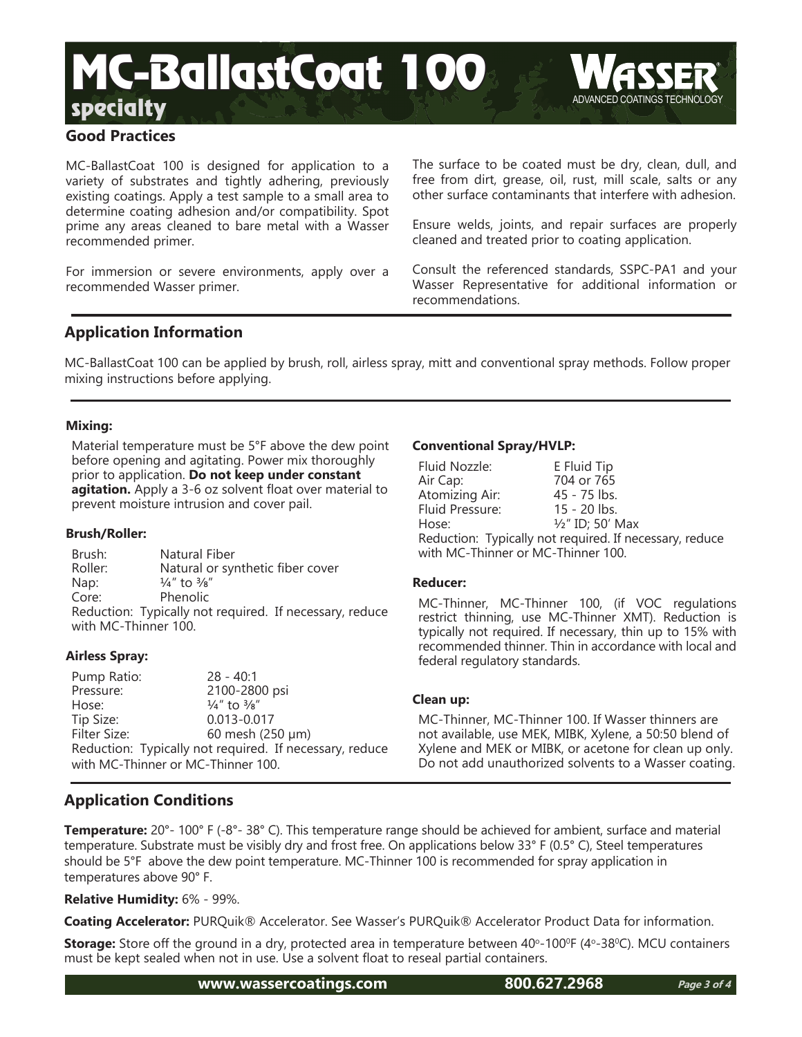# **Good Practices**

MC-BallastCoat 100 is designed for application to a variety of substrates and tightly adhering, previously existing coatings. Apply a test sample to a small area to determine coating adhesion and/or compatibility. Spot prime any areas cleaned to bare metal with a Wasser recommended primer.

For immersion or severe environments, apply over a recommended Wasser primer.

The surface to be coated must be dry, clean, dull, and free from dirt, grease, oil, rust, mill scale, salts or any other surface contaminants that interfere with adhesion.

Ensure welds, joints, and repair surfaces are properly cleaned and treated prior to coating application.

Consult the referenced standards, SSPC-PA1 and your Wasser Representative for additional information or recommendations.

## **Application Information**

MC-BallastCoat 100 can be applied by brush, roll, airless spray, mitt and conventional spray methods. Follow proper mixing instructions before applying.

## **Mixing:**

Material temperature must be 5°F above the dew point before opening and agitating. Power mix thoroughly prior to application. **Do not keep under constant agitation.** Apply a 3-6 oz solvent float over material to prevent moisture intrusion and cover pail.

## **Brush/Roller:**

Brush: Natural Fiber Roller: Natural or synthetic fiber cover Nap:  $\frac{1}{4}$ " to  $\frac{3}{8}$ " Core: Phenolic Reduction: Typically not required. If necessary, reduce with MC-Thinner 100.

## **Airless Spray:**

Pump Ratio: 28 - 40:1 Pressure:  $2100 - 2800$  psi<br>Hose:  $\frac{1}{4}$  to  $\frac{3}{8}$ "  $\frac{1}{4}$ " to  $\frac{3}{8}$ " Tip Size: 0.013-0.017 60 mesh (250 μm) Reduction: Typically not required. If necessary, reduce with MC-Thinner or MC-Thinner 100.

## **Conventional Spray/HVLP:**

| Fluid Nozzle:                                           | E Fluid Tip                 |  |
|---------------------------------------------------------|-----------------------------|--|
| Air Cap:                                                | 704 or 765                  |  |
| Atomizing Air:                                          | 45 - 75 lbs.                |  |
| Fluid Pressure:                                         | $15 - 20$ lbs.              |  |
| Hose:                                                   | $\frac{1}{2}$ " ID; 50' Max |  |
| Reduction: Typically not required. If necessary, reduce |                             |  |
| with MC-Thinner or MC-Thinner 100.                      |                             |  |

## **Reducer:**

MC-Thinner, MC-Thinner 100, (if VOC regulations restrict thinning, use MC-Thinner XMT). Reduction is typically not required. If necessary, thin up to 15% with recommended thinner. Thin in accordance with local and federal regulatory standards.

## **Clean up:**

MC-Thinner, MC-Thinner 100. If Wasser thinners are not available, use MEK, MIBK, Xylene, a 50:50 blend of Xylene and MEK or MIBK, or acetone for clean up only. Do not add unauthorized solvents to a Wasser coating.

# **Application Conditions**

**Temperature:** 20°- 100° F (-8°- 38° C). This temperature range should be achieved for ambient, surface and material temperature. Substrate must be visibly dry and frost free. On applications below 33° F (0.5° C), Steel temperatures should be 5°F above the dew point temperature. MC-Thinner 100 is recommended for spray application in temperatures above 90° F.

## **Relative Humidity:** 6% - 99%.

**Coating Accelerator:** PURQuik® Accelerator. See Wasser's PURQuik® Accelerator Product Data for information.

Storage: Store off the ground in a dry, protected area in temperature between 40°-100°F (4°-38°C). MCU containers must be kept sealed when not in use. Use a solvent float to reseal partial containers.

**www.wassercoatings.com 800.627.2968**